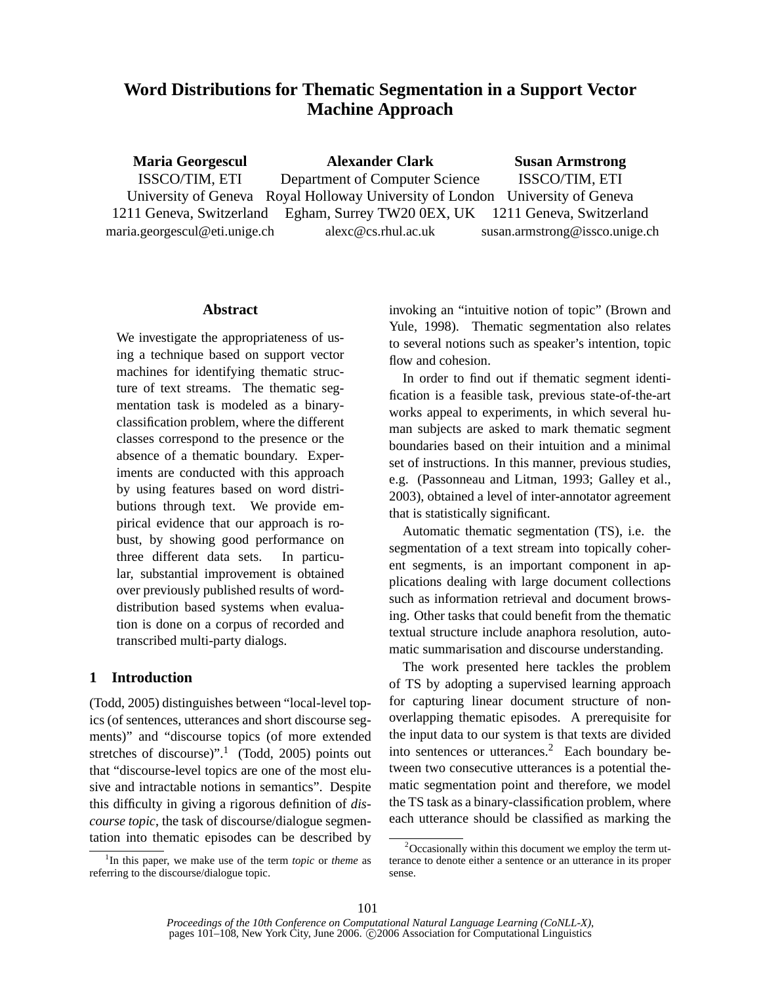# **Word Distributions for Thematic Segmentation in a Support Vector Machine Approach**

**Maria Georgescul** ISSCO/TIM, ETI University of Geneva 1211 Geneva, Switzerland maria.georgescul@eti.unige.ch **Alexander Clark** Department of Computer Science Royal Holloway University of London University of Geneva Egham, Surrey TW20 0EX, UK alexc@cs.rhul.ac.uk **Susan Armstrong** ISSCO/TIM, ETI 1211 Geneva, Switzerland susan.armstrong@issco.unige.ch

### **Abstract**

We investigate the appropriateness of using a technique based on support vector machines for identifying thematic structure of text streams. The thematic segmentation task is modeled as a binaryclassification problem, where the different classes correspond to the presence or the absence of a thematic boundary. Experiments are conducted with this approach by using features based on word distributions through text. We provide empirical evidence that our approach is robust, by showing good performance on three different data sets. In particular, substantial improvement is obtained over previously published results of worddistribution based systems when evaluation is done on a corpus of recorded and transcribed multi-party dialogs.

# **1 Introduction**

(Todd, 2005) distinguishes between "local-level topics (of sentences, utterances and short discourse segments)" and "discourse topics (of more extended stretches of discourse)".<sup>1</sup> (Todd, 2005) points out that "discourse-level topics are one of the most elusive and intractable notions in semantics". Despite this difficulty in giving a rigorous definition of *discourse topic*, the task of discourse/dialogue segmentation into thematic episodes can be described by

1 In this paper, we make use of the term *topic* or *theme* as referring to the discourse/dialogue topic.

invoking an "intuitive notion of topic" (Brown and Yule, 1998). Thematic segmentation also relates to several notions such as speaker's intention, topic flow and cohesion.

In order to find out if thematic segment identification is a feasible task, previous state-of-the-art works appeal to experiments, in which several human subjects are asked to mark thematic segment boundaries based on their intuition and a minimal set of instructions. In this manner, previous studies, e.g. (Passonneau and Litman, 1993; Galley et al., 2003), obtained a level of inter-annotator agreement that is statistically significant.

Automatic thematic segmentation (TS), i.e. the segmentation of a text stream into topically coherent segments, is an important component in applications dealing with large document collections such as information retrieval and document browsing. Other tasks that could benefit from the thematic textual structure include anaphora resolution, automatic summarisation and discourse understanding.

The work presented here tackles the problem of TS by adopting a supervised learning approach for capturing linear document structure of nonoverlapping thematic episodes. A prerequisite for the input data to our system is that texts are divided into sentences or utterances.<sup>2</sup> Each boundary between two consecutive utterances is a potential thematic segmentation point and therefore, we model the TS task as a binary-classification problem, where each utterance should be classified as marking the

 $2$ Occasionally within this document we employ the term utterance to denote either a sentence or an utterance in its proper sense.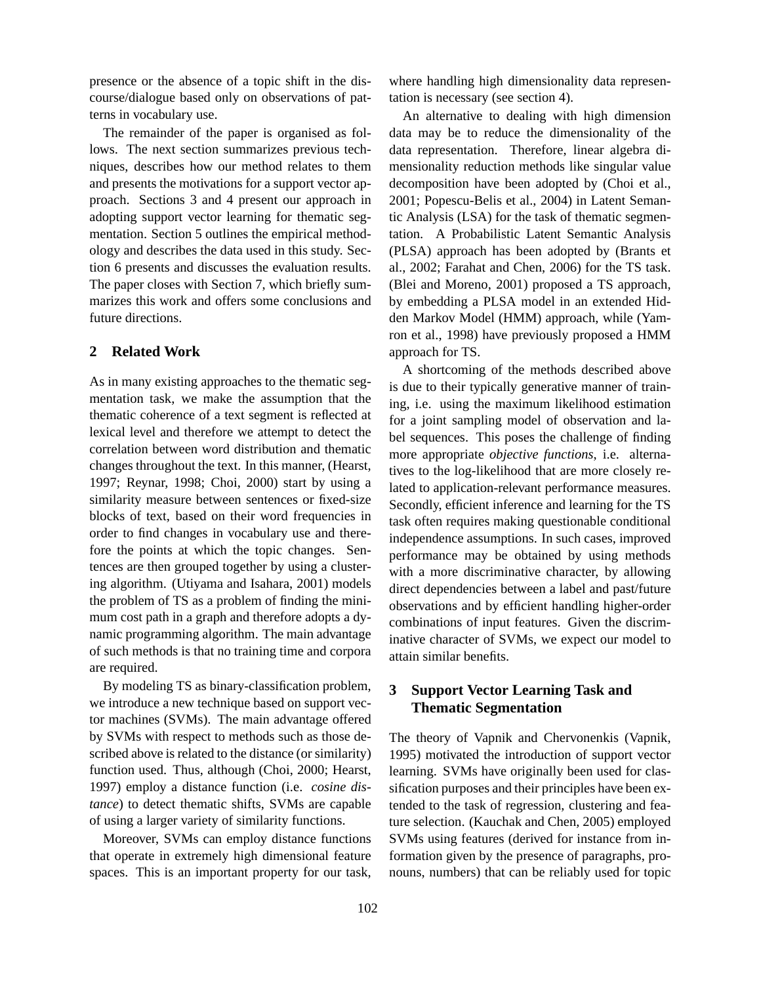presence or the absence of a topic shift in the discourse/dialogue based only on observations of patterns in vocabulary use.

The remainder of the paper is organised as follows. The next section summarizes previous techniques, describes how our method relates to them and presents the motivations for a support vector approach. Sections 3 and 4 present our approach in adopting support vector learning for thematic segmentation. Section 5 outlines the empirical methodology and describes the data used in this study. Section 6 presents and discusses the evaluation results. The paper closes with Section 7, which briefly summarizes this work and offers some conclusions and future directions.

# **2 Related Work**

As in many existing approaches to the thematic segmentation task, we make the assumption that the thematic coherence of a text segment is reflected at lexical level and therefore we attempt to detect the correlation between word distribution and thematic changes throughout the text. In this manner, (Hearst, 1997; Reynar, 1998; Choi, 2000) start by using a similarity measure between sentences or fixed-size blocks of text, based on their word frequencies in order to find changes in vocabulary use and therefore the points at which the topic changes. Sentences are then grouped together by using a clustering algorithm. (Utiyama and Isahara, 2001) models the problem of TS as a problem of finding the minimum cost path in a graph and therefore adopts a dynamic programming algorithm. The main advantage of such methods is that no training time and corpora are required.

By modeling TS as binary-classification problem, we introduce a new technique based on support vector machines (SVMs). The main advantage offered by SVMs with respect to methods such as those described above is related to the distance (or similarity) function used. Thus, although (Choi, 2000; Hearst, 1997) employ a distance function (i.e. *cosine distance*) to detect thematic shifts, SVMs are capable of using a larger variety of similarity functions.

Moreover, SVMs can employ distance functions that operate in extremely high dimensional feature spaces. This is an important property for our task,

where handling high dimensionality data representation is necessary (see section 4).

An alternative to dealing with high dimension data may be to reduce the dimensionality of the data representation. Therefore, linear algebra dimensionality reduction methods like singular value decomposition have been adopted by (Choi et al., 2001; Popescu-Belis et al., 2004) in Latent Semantic Analysis (LSA) for the task of thematic segmentation. A Probabilistic Latent Semantic Analysis (PLSA) approach has been adopted by (Brants et al., 2002; Farahat and Chen, 2006) for the TS task. (Blei and Moreno, 2001) proposed a TS approach, by embedding a PLSA model in an extended Hidden Markov Model (HMM) approach, while (Yamron et al., 1998) have previously proposed a HMM approach for TS.

A shortcoming of the methods described above is due to their typically generative manner of training, i.e. using the maximum likelihood estimation for a joint sampling model of observation and label sequences. This poses the challenge of finding more appropriate *objective functions*, i.e. alternatives to the log-likelihood that are more closely related to application-relevant performance measures. Secondly, efficient inference and learning for the TS task often requires making questionable conditional independence assumptions. In such cases, improved performance may be obtained by using methods with a more discriminative character, by allowing direct dependencies between a label and past/future observations and by efficient handling higher-order combinations of input features. Given the discriminative character of SVMs, we expect our model to attain similar benefits.

# **3 Support Vector Learning Task and Thematic Segmentation**

The theory of Vapnik and Chervonenkis (Vapnik, 1995) motivated the introduction of support vector learning. SVMs have originally been used for classification purposes and their principles have been extended to the task of regression, clustering and feature selection. (Kauchak and Chen, 2005) employed SVMs using features (derived for instance from information given by the presence of paragraphs, pronouns, numbers) that can be reliably used for topic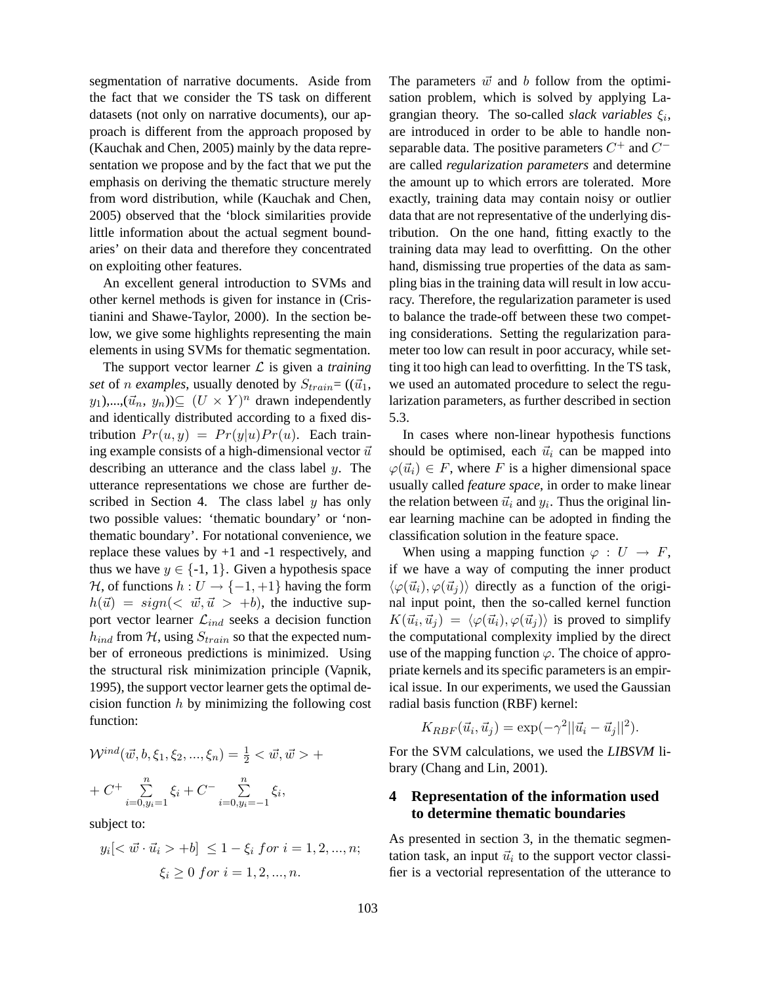segmentation of narrative documents. Aside from the fact that we consider the TS task on different datasets (not only on narrative documents), our approach is different from the approach proposed by (Kauchak and Chen, 2005) mainly by the data representation we propose and by the fact that we put the emphasis on deriving the thematic structure merely from word distribution, while (Kauchak and Chen, 2005) observed that the 'block similarities provide little information about the actual segment boundaries' on their data and therefore they concentrated on exploiting other features.

An excellent general introduction to SVMs and other kernel methods is given for instance in (Cristianini and Shawe-Taylor, 2000). In the section below, we give some highlights representing the main elements in using SVMs for thematic segmentation.

The support vector learner  $\mathcal L$  is given a *training set* of *n examples*, usually denoted by  $S_{train} = ((\vec{u}_1,$  $(y_1),...,(\vec{u}_n, y_n)) \subseteq (U \times Y)^n$  drawn independently and identically distributed according to a fixed distribution  $Pr(u, y) = Pr(y|u)Pr(u)$ . Each training example consists of a high-dimensional vector  $\vec{u}$ describing an utterance and the class label y. The utterance representations we chose are further described in Section 4. The class label  $y$  has only two possible values: 'thematic boundary' or 'nonthematic boundary'. For notational convenience, we replace these values by  $+1$  and  $-1$  respectively, and thus we have  $y \in \{-1, 1\}$ . Given a hypothesis space  $H$ , of functions  $h: U \rightarrow \{-1, +1\}$  having the form  $h(\vec{u}) = sign(<\vec{w}, \vec{u} > +b)$ , the inductive support vector learner  $\mathcal{L}_{ind}$  seeks a decision function  $h_{ind}$  from H, using  $S_{train}$  so that the expected number of erroneous predictions is minimized. Using the structural risk minimization principle (Vapnik, 1995), the support vector learner gets the optimal decision function  $h$  by minimizing the following cost function:

$$
\mathcal{W}^{ind}(\vec{w}, b, \xi_1, \xi_2, ..., \xi_n) = \frac{1}{2} < \vec{w}, \vec{w} > +
$$
  
+ 
$$
C^+ \sum_{i=0, y_i=1}^n \xi_i + C^- \sum_{i=0, y_i=-1}^n \xi_i,
$$

subject to:

$$
y_i[<\vec{w} \cdot \vec{u}_i > +b] \le 1 - \xi_i
$$
 for  $i = 1, 2, ..., n;$   
 $\xi_i \ge 0$  for  $i = 1, 2, ..., n$ .

The parameters  $\vec{w}$  and b follow from the optimisation problem, which is solved by applying Lagrangian theory. The so-called *slack variables*  $\xi_i$ , are introduced in order to be able to handle nonseparable data. The positive parameters  $C^+$  and  $C^$ are called *regularization parameters* and determine the amount up to which errors are tolerated. More exactly, training data may contain noisy or outlier data that are not representative of the underlying distribution. On the one hand, fitting exactly to the training data may lead to overfitting. On the other hand, dismissing true properties of the data as sampling bias in the training data will result in low accuracy. Therefore, the regularization parameter is used to balance the trade-off between these two competing considerations. Setting the regularization parameter too low can result in poor accuracy, while setting it too high can lead to overfitting. In the TS task, we used an automated procedure to select the regularization parameters, as further described in section 5.3.

In cases where non-linear hypothesis functions should be optimised, each  $\vec{u}_i$  can be mapped into  $\varphi(\vec{u}_i) \in F$ , where F is a higher dimensional space usually called *feature space*, in order to make linear the relation between  $\vec{u}_i$  and  $y_i$ . Thus the original linear learning machine can be adopted in finding the classification solution in the feature space.

When using a mapping function  $\varphi : U \to F$ , if we have a way of computing the inner product  $\langle \varphi(\vec{u}_i), \varphi(\vec{u}_j) \rangle$  directly as a function of the original input point, then the so-called kernel function  $K(\vec{u}_i, \vec{u}_j) = \langle \varphi(\vec{u}_i), \varphi(\vec{u}_j) \rangle$  is proved to simplify the computational complexity implied by the direct use of the mapping function  $\varphi$ . The choice of appropriate kernels and its specific parameters is an empirical issue. In our experiments, we used the Gaussian radial basis function (RBF) kernel:

$$
K_{RBF}(\vec{u}_i, \vec{u}_j) = \exp(-\gamma^2 ||\vec{u}_i - \vec{u}_j||^2).
$$

For the SVM calculations, we used the *LIBSVM* library (Chang and Lin, 2001).

# **4 Representation of the information used to determine thematic boundaries**

As presented in section 3, in the thematic segmentation task, an input  $\vec{u}_i$  to the support vector classifier is a vectorial representation of the utterance to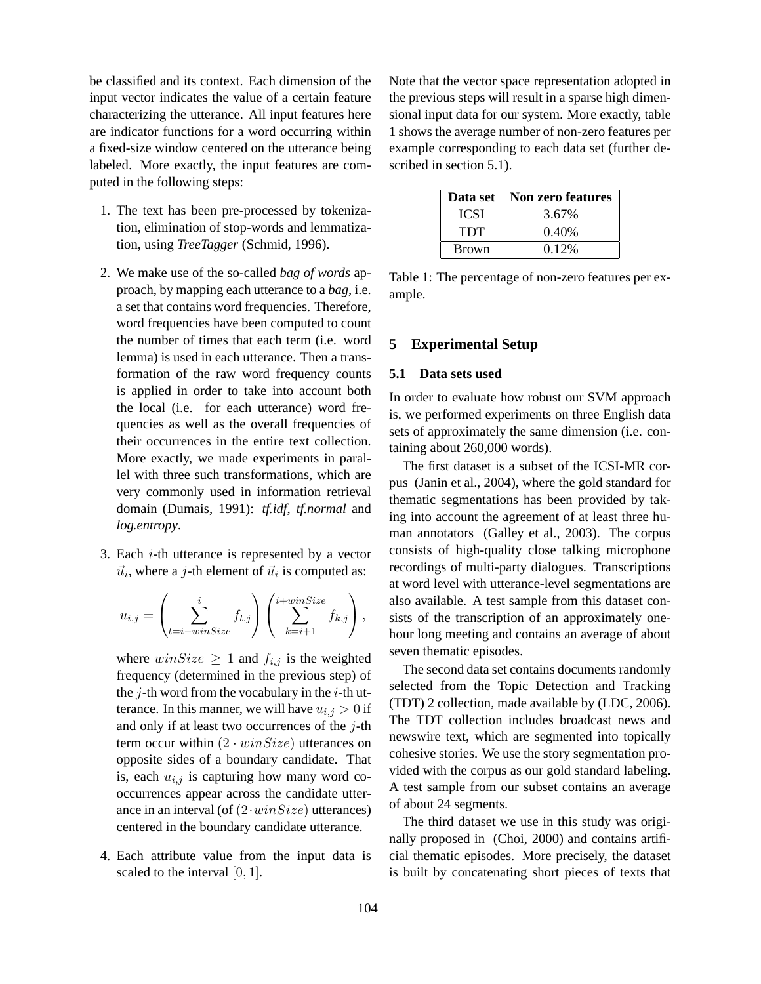be classified and its context. Each dimension of the input vector indicates the value of a certain feature characterizing the utterance. All input features here are indicator functions for a word occurring within a fixed-size window centered on the utterance being labeled. More exactly, the input features are computed in the following steps:

- 1. The text has been pre-processed by tokenization, elimination of stop-words and lemmatization, using *TreeTagger* (Schmid, 1996).
- 2. We make use of the so-called *bag of words* approach, by mapping each utterance to a *bag*, i.e. a set that contains word frequencies. Therefore, word frequencies have been computed to count the number of times that each term (i.e. word lemma) is used in each utterance. Then a transformation of the raw word frequency counts is applied in order to take into account both the local (i.e. for each utterance) word frequencies as well as the overall frequencies of their occurrences in the entire text collection. More exactly, we made experiments in parallel with three such transformations, which are very commonly used in information retrieval domain (Dumais, 1991): *tf.idf*, *tf.normal* and *log.entropy*.
- 3. Each  $i$ -th utterance is represented by a vector  $\vec{u}_i$ , where a j-th element of  $\vec{u}_i$  is computed as:

$$
u_{i,j} = \left(\sum_{t=i-\text{winSize}}^i f_{t,j}\right) \left(\sum_{k=i+1}^{i+\text{winSize}} f_{k,j}\right),
$$

where  $winSize \geq 1$  and  $f_{i,j}$  is the weighted frequency (determined in the previous step) of the  $j$ -th word from the vocabulary in the  $i$ -th utterance. In this manner, we will have  $u_{i,j} > 0$  if and only if at least two occurrences of the  $i$ -th term occur within  $(2 \cdot winSize)$  utterances on opposite sides of a boundary candidate. That is, each  $u_{i,j}$  is capturing how many word cooccurrences appear across the candidate utterance in an interval (of  $(2 \cdot winSize)$  utterances) centered in the boundary candidate utterance.

4. Each attribute value from the input data is scaled to the interval [0, 1].

Note that the vector space representation adopted in the previous steps will result in a sparse high dimensional input data for our system. More exactly, table 1 shows the average number of non-zero features per example corresponding to each data set (further described in section 5.1).

| Data set     | Non zero features |  |  |
|--------------|-------------------|--|--|
| <b>ICSI</b>  | 3.67%             |  |  |
| <b>TDT</b>   | 0.40%             |  |  |
| <b>Brown</b> | 0.12%             |  |  |

Table 1: The percentage of non-zero features per example.

### **5 Experimental Setup**

#### **5.1 Data sets used**

In order to evaluate how robust our SVM approach is, we performed experiments on three English data sets of approximately the same dimension (i.e. containing about 260,000 words).

The first dataset is a subset of the ICSI-MR corpus (Janin et al., 2004), where the gold standard for thematic segmentations has been provided by taking into account the agreement of at least three human annotators (Galley et al., 2003). The corpus consists of high-quality close talking microphone recordings of multi-party dialogues. Transcriptions at word level with utterance-level segmentations are also available. A test sample from this dataset consists of the transcription of an approximately onehour long meeting and contains an average of about seven thematic episodes.

The second data set contains documents randomly selected from the Topic Detection and Tracking (TDT) 2 collection, made available by (LDC, 2006). The TDT collection includes broadcast news and newswire text, which are segmented into topically cohesive stories. We use the story segmentation provided with the corpus as our gold standard labeling. A test sample from our subset contains an average of about 24 segments.

The third dataset we use in this study was originally proposed in (Choi, 2000) and contains artificial thematic episodes. More precisely, the dataset is built by concatenating short pieces of texts that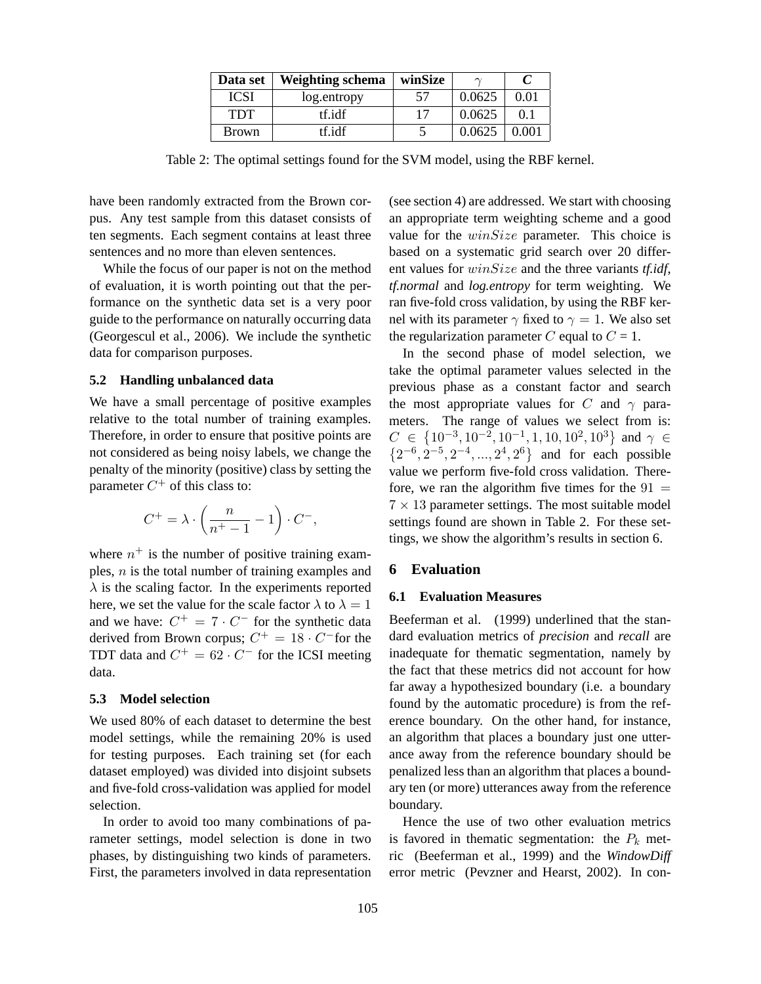| Data set     | <b>Weighting schema</b> | winSize | $\sim$ |                 |
|--------------|-------------------------|---------|--------|-----------------|
| <b>ICSI</b>  | log.entropy             | .57     | 0.0625 | 0 <sub>01</sub> |
| <b>TDT</b>   | tf.idf                  | 17      | 0.0625 | 01              |
| <b>Brown</b> | tf.idf                  |         | 0.0625 | 0.001           |

Table 2: The optimal settings found for the SVM model, using the RBF kernel.

have been randomly extracted from the Brown corpus. Any test sample from this dataset consists of ten segments. Each segment contains at least three sentences and no more than eleven sentences.

While the focus of our paper is not on the method of evaluation, it is worth pointing out that the performance on the synthetic data set is a very poor guide to the performance on naturally occurring data (Georgescul et al., 2006). We include the synthetic data for comparison purposes.

#### **5.2 Handling unbalanced data**

We have a small percentage of positive examples relative to the total number of training examples. Therefore, in order to ensure that positive points are not considered as being noisy labels, we change the penalty of the minority (positive) class by setting the parameter  $C^+$  of this class to:

$$
C^+ = \lambda \cdot \left(\frac{n}{n^+-1}-1\right) \cdot C^-,
$$

where  $n^{+}$  is the number of positive training examples, n is the total number of training examples and  $\lambda$  is the scaling factor. In the experiments reported here, we set the value for the scale factor  $\lambda$  to  $\lambda = 1$ and we have:  $C^+ = 7 \cdot C^-$  for the synthetic data derived from Brown corpus;  $C^+ = 18 \cdot C^-$  for the TDT data and  $C^+ = 62 \cdot C^-$  for the ICSI meeting data.

### **5.3 Model selection**

We used 80% of each dataset to determine the best model settings, while the remaining 20% is used for testing purposes. Each training set (for each dataset employed) was divided into disjoint subsets and five-fold cross-validation was applied for model selection.

In order to avoid too many combinations of parameter settings, model selection is done in two phases, by distinguishing two kinds of parameters. First, the parameters involved in data representation (see section 4) are addressed. We start with choosing an appropriate term weighting scheme and a good value for the  $winSize$  parameter. This choice is based on a systematic grid search over 20 different values for winSize and the three variants *tf.idf*, *tf.normal* and *log.entropy* for term weighting. We ran five-fold cross validation, by using the RBF kernel with its parameter  $\gamma$  fixed to  $\gamma = 1$ . We also set the regularization parameter C equal to  $C = 1$ .

In the second phase of model selection, we take the optimal parameter values selected in the previous phase as a constant factor and search the most appropriate values for C and  $\gamma$  parameters. The range of values we select from is:  $C \in \{10^{-3}, 10^{-2}, 10^{-1}, 1, 10, 10^{2}, 10^{3}\}$  and  $\gamma \in$  $\{2^{-6}, 2^{-5}, 2^{-4}, ..., 2^{4}, 2^{6}\}$  and for each possible value we perform five-fold cross validation. Therefore, we ran the algorithm five times for the  $91 =$  $7 \times 13$  parameter settings. The most suitable model settings found are shown in Table 2. For these settings, we show the algorithm's results in section 6.

### **6 Evaluation**

#### **6.1 Evaluation Measures**

Beeferman et al. (1999) underlined that the standard evaluation metrics of *precision* and *recall* are inadequate for thematic segmentation, namely by the fact that these metrics did not account for how far away a hypothesized boundary (i.e. a boundary found by the automatic procedure) is from the reference boundary. On the other hand, for instance, an algorithm that places a boundary just one utterance away from the reference boundary should be penalized less than an algorithm that places a boundary ten (or more) utterances away from the reference boundary.

Hence the use of two other evaluation metrics is favored in thematic segmentation: the  $P_k$  metric (Beeferman et al., 1999) and the *WindowDiff* error metric (Pevzner and Hearst, 2002). In con-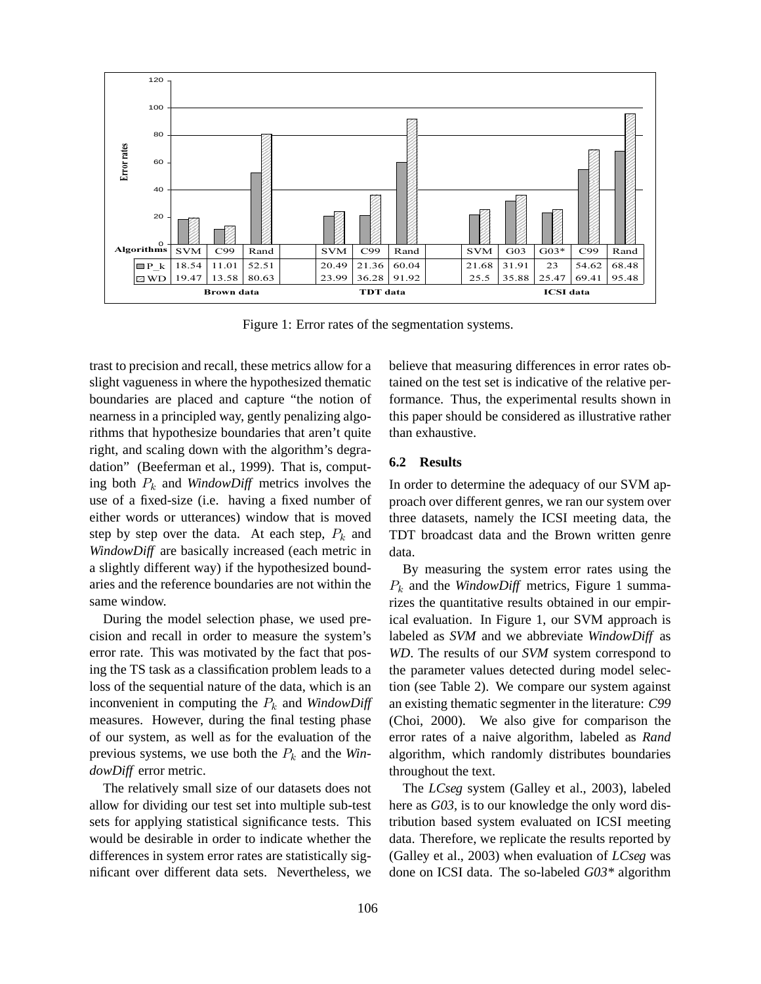

Figure 1: Error rates of the segmentation systems.

trast to precision and recall, these metrics allow for a slight vagueness in where the hypothesized thematic boundaries are placed and capture "the notion of nearness in a principled way, gently penalizing algorithms that hypothesize boundaries that aren't quite right, and scaling down with the algorithm's degradation" (Beeferman et al., 1999). That is, computing both  $P_k$  and *WindowDiff* metrics involves the use of a fixed-size (i.e. having a fixed number of either words or utterances) window that is moved step by step over the data. At each step,  $P_k$  and *WindowDiff* are basically increased (each metric in a slightly different way) if the hypothesized boundaries and the reference boundaries are not within the same window.

During the model selection phase, we used precision and recall in order to measure the system's error rate. This was motivated by the fact that posing the TS task as a classification problem leads to a loss of the sequential nature of the data, which is an inconvenient in computing the  $P_k$  and *WindowDiff* measures. However, during the final testing phase of our system, as well as for the evaluation of the previous systems, we use both the  $P_k$  and the *WindowDiff* error metric.

The relatively small size of our datasets does not allow for dividing our test set into multiple sub-test sets for applying statistical significance tests. This would be desirable in order to indicate whether the differences in system error rates are statistically significant over different data sets. Nevertheless, we

believe that measuring differences in error rates obtained on the test set is indicative of the relative performance. Thus, the experimental results shown in this paper should be considered as illustrative rather than exhaustive.

#### **6.2 Results**

In order to determine the adequacy of our SVM approach over different genres, we ran our system over three datasets, namely the ICSI meeting data, the TDT broadcast data and the Brown written genre data.

By measuring the system error rates using the  $P_k$  and the *WindowDiff* metrics, Figure 1 summarizes the quantitative results obtained in our empirical evaluation. In Figure 1, our SVM approach is labeled as *SVM* and we abbreviate *WindowDiff* as *WD*. The results of our *SVM* system correspond to the parameter values detected during model selection (see Table 2). We compare our system against an existing thematic segmenter in the literature: *C99* (Choi, 2000). We also give for comparison the error rates of a naive algorithm, labeled as *Rand* algorithm, which randomly distributes boundaries throughout the text.

The *LCseg* system (Galley et al., 2003), labeled here as *G03*, is to our knowledge the only word distribution based system evaluated on ICSI meeting data. Therefore, we replicate the results reported by (Galley et al., 2003) when evaluation of *LCseg* was done on ICSI data. The so-labeled *G03\** algorithm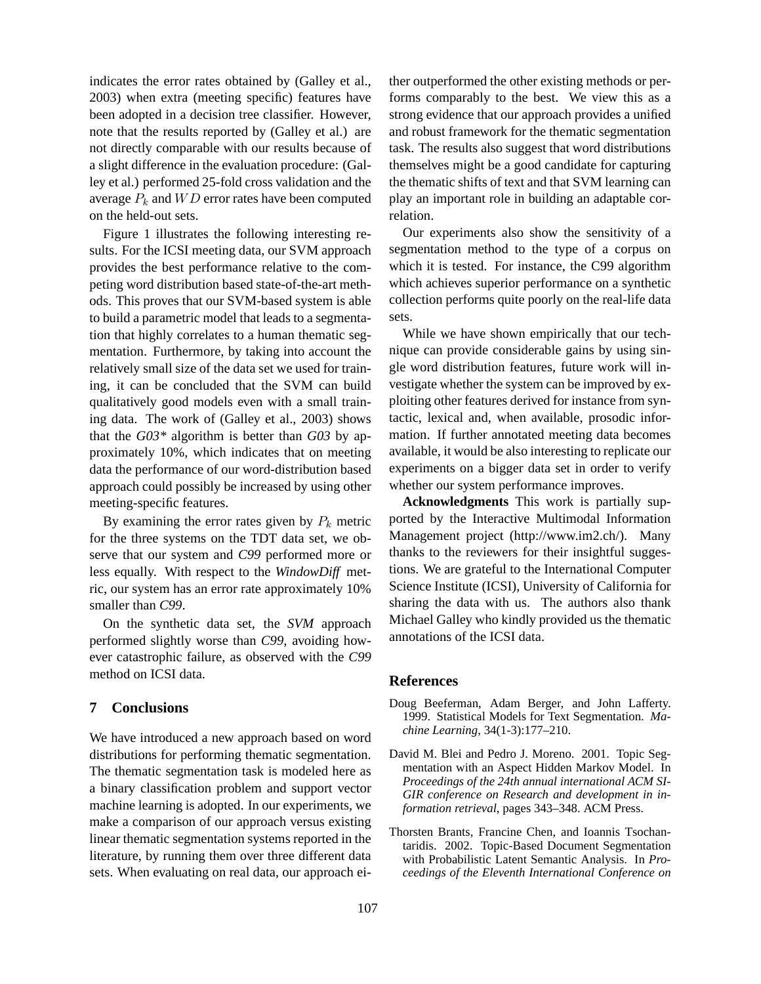indicates the error rates obtained by (Galley et al., 2003) when extra (meeting specific) features have been adopted in a decision tree classifier. However, note that the results reported by (Galley et al.) are not directly comparable with our results because of a slight difference in the evaluation procedure: (Galley et al.) performed 25-fold cross validation and the average  $P_k$  and  $WD$  error rates have been computed on the held-out sets.

Figure 1 illustrates the following interesting results. For the ICSI meeting data, our SVM approach provides the best performance relative to the competing word distribution based state-of-the-art methods. This proves that our SVM-based system is able to build a parametric model that leads to a segmentation that highly correlates to a human thematic segmentation. Furthermore, by taking into account the relatively small size of the data set we used for training, it can be concluded that the SVM can build qualitatively good models even with a small training data. The work of (Galley et al., 2003) shows that the *G03\** algorithm is better than *G03* by approximately 10%, which indicates that on meeting data the performance of our word-distribution based approach could possibly be increased by using other meeting-specific features.

By examining the error rates given by  $P_k$  metric for the three systems on the TDT data set, we observe that our system and *C99* performed more or less equally. With respect to the *WindowDiff* metric, our system has an error rate approximately 10% smaller than *C99*.

On the synthetic data set, the *SVM* approach performed slightly worse than *C99*, avoiding however catastrophic failure, as observed with the *C99* method on ICSI data.

### **7 Conclusions**

We have introduced a new approach based on word distributions for performing thematic segmentation. The thematic segmentation task is modeled here as a binary classification problem and support vector machine learning is adopted. In our experiments, we make a comparison of our approach versus existing linear thematic segmentation systems reported in the literature, by running them over three different data sets. When evaluating on real data, our approach either outperformed the other existing methods or performs comparably to the best. We view this as a strong evidence that our approach provides a unified and robust framework for the thematic segmentation task. The results also suggest that word distributions themselves might be a good candidate for capturing the thematic shifts of text and that SVM learning can play an important role in building an adaptable correlation.

Our experiments also show the sensitivity of a segmentation method to the type of a corpus on which it is tested. For instance, the C99 algorithm which achieves superior performance on a synthetic collection performs quite poorly on the real-life data sets.

While we have shown empirically that our technique can provide considerable gains by using single word distribution features, future work will investigate whether the system can be improved by exploiting other features derived for instance from syntactic, lexical and, when available, prosodic information. If further annotated meeting data becomes available, it would be also interesting to replicate our experiments on a bigger data set in order to verify whether our system performance improves.

**Acknowledgments** This work is partially supported by the Interactive Multimodal Information Management project (http://www.im2.ch/). Many thanks to the reviewers for their insightful suggestions. We are grateful to the International Computer Science Institute (ICSI), University of California for sharing the data with us. The authors also thank Michael Galley who kindly provided us the thematic annotations of the ICSI data.

#### **References**

- Doug Beeferman, Adam Berger, and John Lafferty. 1999. Statistical Models for Text Segmentation. *Machine Learning*, 34(1-3):177–210.
- David M. Blei and Pedro J. Moreno. 2001. Topic Segmentation with an Aspect Hidden Markov Model. In *Proceedings of the 24th annual international ACM SI-GIR conference on Research and development in information retrieval*, pages 343–348. ACM Press.
- Thorsten Brants, Francine Chen, and Ioannis Tsochantaridis. 2002. Topic-Based Document Segmentation with Probabilistic Latent Semantic Analysis. In *Proceedings of the Eleventh International Conference on*